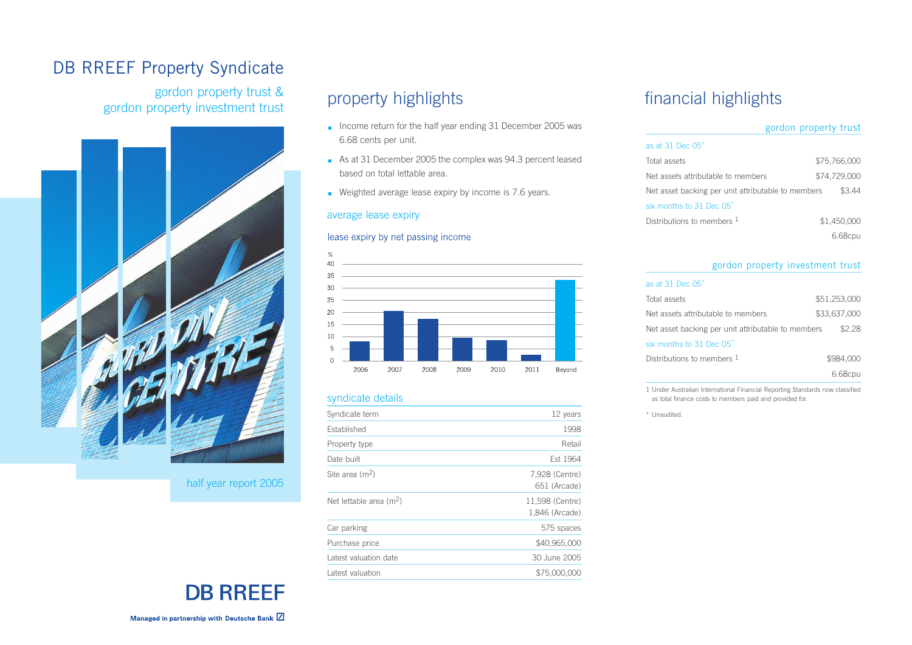## DB RREEF Property Syndicate

gordon property trust & gordon property investment trust



half year report 2005

# **DB RREEF**

Managed in partnership with Deutsche Bank Z

# property highlights

- **Income return for the half year ending 31 December 2005 was** 6.68 cents per unit.
- As at 31 December 2005 the complex was 94.3 percent leased based on total lettable area.
- Weighted average lease expiry by income is 7.6 years.

#### average lease expiry

#### lease expiry by net passing income



#### syndicate details

| Syndicate term                      | 12 years                          |
|-------------------------------------|-----------------------------------|
| Established                         | 1998                              |
| Property type                       | Retail                            |
| Date built                          | Est 1964                          |
| Site area $(m2)$                    | 7,928 (Centre)<br>651 (Arcade)    |
| Net lettable area (m <sup>2</sup> ) | 11,598 (Centre)<br>1,846 (Arcade) |
| Car parking                         | 575 spaces                        |
| Purchase price                      | \$40,965,000                      |
| Latest valuation date               |                                   |
|                                     | 30 June 2005                      |

### financial highlights

|                                                    | gordon property trust |
|----------------------------------------------------|-----------------------|
| as at 31 Dec 05 <sup>*</sup>                       |                       |
| Total assets                                       | \$75,766,000          |
| Net assets attributable to members                 | \$74.729.000          |
| Net asset backing per unit attributable to members | \$344                 |
| six months to 31 Dec 05 <sup>*</sup>               |                       |
| Distributions to members 1                         | \$1.450.000           |
|                                                    | 6.680                 |

#### gordon property investment trust

#### as at 31 Dec 05\*

| Total assets                                       | \$51,253,000 |
|----------------------------------------------------|--------------|
| Net assets attributable to members                 | \$33,637,000 |
| Net asset backing per unit attributable to members | \$22         |
| six months to 31 Dec 05 <sup>*</sup>               |              |
| Distributions to members $1$                       | \$984,000    |
|                                                    |              |

1 Under Australian International Financial Reporting Standards now classified as total finance costs to members paid and provided for.

\* Unaudited.